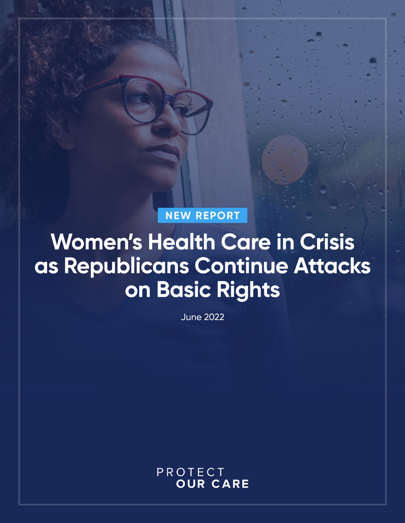**NEW REPORT** 

# **Women's Health Care in Crisis** as Republicans Continue Attacks on Basic Rights

**June 2022** 

PROTECT **OUR CARE**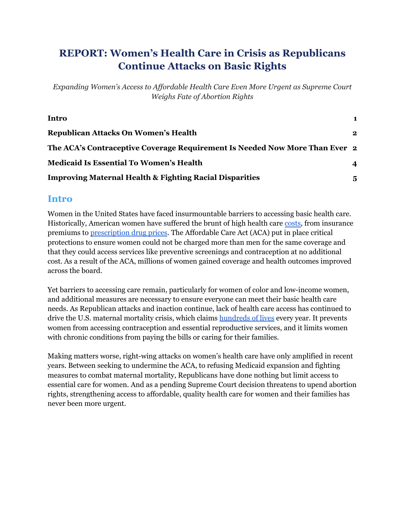# **REPORT: Women's Health Care in Crisis as Republicans Continue Attacks on Basic Rights**

*Expanding Women's Access to Af ordable Health Care Even More Urgent as Supreme Court Weighs Fate of Abortion Rights*

| Intro                                                                       | 1            |
|-----------------------------------------------------------------------------|--------------|
| <b>Republican Attacks On Women's Health</b>                                 | $\mathbf{2}$ |
| The ACA's Contraceptive Coverage Requirement Is Needed Now More Than Ever 2 |              |
| <b>Medicaid Is Essential To Women's Health</b>                              | 4            |
| <b>Improving Maternal Health &amp; Fighting Racial Disparities</b>          | 5            |

## <span id="page-1-0"></span>**Intro**

Women in the United States have faced insurmountable barriers to accessing basic health care. Historically, American women have suffered the brunt of high health care [costs,](https://www.commonwealthfund.org/publications/issue-briefs/2022/apr/health-and-health-care-women-reproductive-age) from insurance premiums to [prescription](https://www.protectourcare.org/wp-content/uploads/2021/06/POC-How-High-Drug-Costs-Hurt-Women-.pdf) drug prices. The Affordable Care Act (ACA) put in place critical protections to ensure women could not be charged more than men for the same coverage and that they could access services like preventive screenings and contraception at no additional cost. As a result of the ACA, millions of women gained coverage and health outcomes improved across the board.

Yet barriers to accessing care remain, particularly for women of color and low-income women, and additional measures are necessary to ensure everyone can meet their basic health care needs. As Republican attacks and inaction continue, lack of health care access has continued to drive the U.S. maternal mortality crisis, which claims [hundreds](https://www.cdc.gov/nchs/data/hestat/maternal-mortality/2020/maternal-mortality-rates-2020.htm#:~:text=In%202020%2C%20861%20women%20were,20.1%20in%202019%20(Table).) of lives every year. It prevents women from accessing contraception and essential reproductive services, and it limits women with chronic conditions from paying the bills or caring for their families.

Making matters worse, right-wing attacks on women's health care have only amplified in recent years. Between seeking to undermine the ACA, to refusing Medicaid expansion and fighting measures to combat maternal mortality, Republicans have done nothing but limit access to essential care for women. And as a pending Supreme Court decision threatens to upend abortion rights, strengthening access to affordable, quality health care for women and their families has never been more urgent.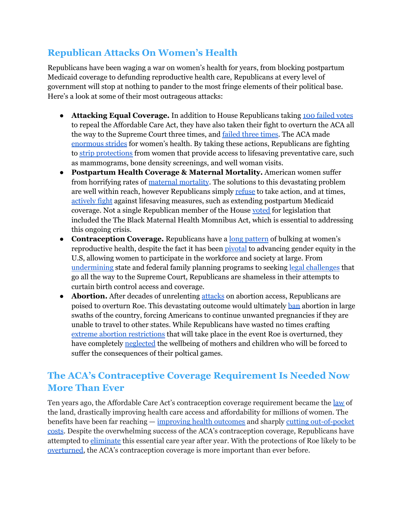# <span id="page-2-0"></span>**Republican Attacks On Women's Health**

Republicans have been waging a war on women's health for years, from blocking postpartum Medicaid coverage to defunding reproductive health care, Republicans at every level of government will stop at nothing to pander to the most fringe elements of their political base. Here's a look at some of their most outrageous attacks:

- **Attacking Equal Coverage.** In addition to House Republicans taking 100 [failed](https://howmanytimeshasthehousevotedtorepealobamacare.com/) votes to repeal the Affordable Care Act, they have also taken their fight to overturn the ACA all the way to the Supreme Court three times, and [failed](https://www.washingtonpost.com/politics/courts_law/affordable-care-act-survives-third-supreme-court-challenge-as-case-from-trump-administration-and-gop-led-states-is-rejected/2021/06/17/1d800dce-cf6f-11eb-8cd2-4e95230cfac2_story.html) three times. The ACA made [enormous](https://www.kff.org/womens-health-policy/issue-brief/the-2020-presidential-election-implications-for-womens-health/) strides for women's health. By taking these actions, Republicans are fighting to strip [protections](https://www.kff.org/womens-health-policy/issue-brief/the-2020-presidential-election-implications-for-womens-health/) from women that provide access to lifesaving preventative care, such as mammograms, bone density screenings, and well woman visits.
- **Postpartum Health Coverage & Maternal Mortality.** American women suffer from horrifying rates of maternal [mortality](https://www.commonwealthfund.org/publications/issue-briefs/2020/nov/maternal-mortality-maternity-care-us-compared-10-countries). The solutions to this devastating problem are well within reach, however Republicans simply [refuse](https://www.plannedparenthoodaction.org/planned-parenthood-advocates-wisconsin/newsroom/republicans-on-jfc-reject-governor-evers-healthy-women-healthy-babies-proposal-in-state-budget-in-advance-of-vote-in-assembly) to take action, and at times, [actively](https://apnews.com/article/health-mississippi-medicaid-c49dcbdc7b356f593485853aee5458c1) fight against lifesaving measures, such as extending postpartum Medicaid coverage. Not a single Republican member of the House [voted](https://clerk.house.gov/Votes/2021386) for legislation that included the The Black Maternal Health Momnibus Act, which is essential to addressing this ongoing crisis.
- **Contraception Coverage.** Republicans have a long [pattern](https://www.guttmacher.org/article/2020/06/seeing-whole-pattern-coordinated-federal-attacks-birth-control-coverage-and-access) of bulking at women's reproductive health, despite the fact it has been [pivotal](https://www.aclum.org/en/press-releases/contraception-key-tool-gender-equity#:~:text=The%20amicus%20brief%20emphasizes%20that,mandate%20was%20designed%20to%20remove.) to advancing gender equity in the U.S, allowing women to participate in the workforce and society at large. From [undermining](https://www.guttmacher.org/article/2020/06/seeing-whole-pattern-coordinated-federal-attacks-birth-control-coverage-and-access) state and federal family planning programs to seeking legal [challenges](https://www.vox.com/2021/4/2/22360341/obamacare-lawsuit-supreme-court-little-sisters-kelley-becerra-reed-oconnor-nondelegation) that go all the way to the Supreme Court, Republicans are shameless in their attempts to curtain birth control access and coverage.
- **Abortion.** After decades of unrelenting [attacks](https://www.plannedparenthoodaction.org/issues/abortion/abortion-central-history-reproductive-health-care-america/timeline-attacks-abortion) on abortion access, Republicans are poised to overturn Roe. This devastating outcome would ultimately [ban](https://www.washingtonpost.com/politics/2022/05/16/abortion-republicans-supreme-court/) abortion in large swaths of the country, forcing Americans to continue unwanted pregnancies if they are unable to travel to other states. While Republicans have wasted no times crafting extreme abortion [restrictions](https://www.washingtonpost.com/nation/interactive/2022/abortion-rights-protections-restrictions-tracker/) that will take place in the event Roe is overturned, they have completely [neglected](https://www.washingtonpost.com/opinions/2022/05/09/republicans-scramble-pretend-they-care-women-children/) the wellbeing of mothers and children who will be forced to suffer the consequences of their poltical games.

# <span id="page-2-1"></span>**The ACA's Contraceptive Coverage Requirement Is Needed Now More Than Ever**

Ten years ago, the Affordable Care Act's contraception coverage requirement became the <u>[law](https://www.kff.org/womens-health-policy/issue-brief/state-and-federal-contraceptive-coverage-requirements-implications-for-women-and-employers/)</u> of the land, drastically improving health care access and affordability for millions of women. The benefits have been far reaching — [improving](https://www.guttmacher.org/report/contraception-and-beyond-health-benefits-services-provided-family-planning-centers) health outcomes and sharply cutting [out-of-pocket](https://www.plannedparenthoodaction.org/issues/health-care-equity/affordable-care-act-aca) [costs](https://www.plannedparenthoodaction.org/issues/health-care-equity/affordable-care-act-aca). Despite the overwhelming success of the ACA's contraception coverage, Republicans have attempted to [eliminate](https://www.guttmacher.org/article/2020/06/seeing-whole-pattern-coordinated-federal-attacks-birth-control-coverage-and-access) this essential care year after year. With the protections of Roe likely to be [overturned,](https://www.politico.com/news/2022/05/02/supreme-court-abortion-draft-opinion-00029473) the ACA's contraception coverage is more important than ever before.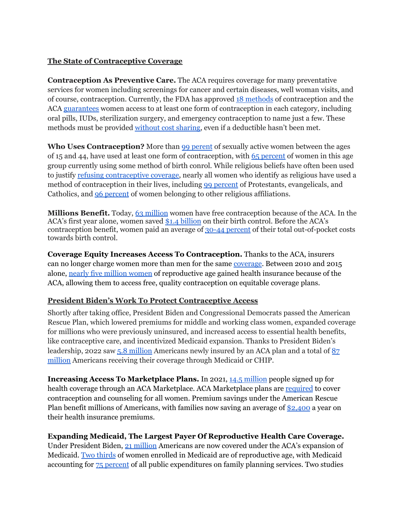#### **The State of Contraceptive Coverage**

**Contraception As Preventive Care.** The ACA requires coverage for many preventative services for women including screenings for cancer and certain diseases, well woman visits, and of course, contraception. Currently, the FDA has approved 18 [methods](https://www.hrsa.gov/womens-guidelines-2019) of contraception and the ACA [guarantees](https://www.americanprogress.org/article/contraceptive-coverage-affordable-care-act/) women access to at least one form of contraception in each category, including oral pills, IUDs, sterilization surgery, and emergency contraception to name just a few. These methods must be provided [without](https://www.healthcare.gov/coverage/birth-control-benefits/) cost sharing, even if a deductible hasn't been met.

**Who Uses Contraception?** More than 99 [perent](https://www.guttmacher.org/fact-sheet/contraceptive-use-united-states) of sexually active women between the ages of 15 and 44, have used at least one form of contraception, with 65 [percent](https://www.guttmacher.org/fact-sheet/contraceptive-use-united-states) of women in this age group currently using some method of birth conrol. While religious beliefs have often been used to justify refusing [contraceptive](https://www.commonwealthfund.org/blog/2020/supreme-court-excuses-organizations-religious-or-moral-objections-covering-workers-birth) coverage, nearly all women who identify as religious have used a method of contraception in their lives, including 99 [percent](https://www.guttmacher.org/fact-sheet/contraceptive-use-united-states) of Protestants, evangelicals, and Catholics, and 96 [percent](https://www.guttmacher.org/fact-sheet/contraceptive-use-united-states) of women belonging to other religious affiliations.

**Millions Benefit.** Today, 63 [million](https://www.plannedparenthoodaction.org/issues/health-care-equity/affordable-care-act-aca) women have free contraception because of the ACA. In the ACA's first year alone, women saved \$1.4 [billion](https://www.plannedparenthoodaction.org/issues/health-care-equity/affordable-care-act-aca) on their birth control. Before the ACA's contraception benefit, women paid an average of 30-44 [percent](https://www.plannedparenthoodaction.org/issues/health-care-equity/affordable-care-act-aca) of their total out-of-pocket costs towards birth control.

**Coverage Equity Increases Access To Contraception.** Thanks to the ACA, insurers can no longer charge women more than men for the same [coverage](https://www.kff.org/other/fact-sheet/womens-health-insurance-coverage/#:~:text=The%20ACA%20bars%20plans%20from,existing%20medical%20conditions%2C%20including%20pregnancy.). Between 2010 and 2015 alone, nearly five million [women](https://www.urban.org/sites/default/files/publication/86761/2001041-who-gained-health-insurance-coverage-under-the-aca-and-where-do-they-live.pdf) of reproductive age gained health insurance because of the ACA, allowing them to access free, quality contraception on equitable coverage plans.

#### **President Biden's Work To Protect Contraceptive Access**

Shortly after taking office, President Biden and Congressional Democrats passed the American Rescue Plan, which lowered premiums for middle and working class women, expanded coverage for millions who were previously uninsured, and increased access to essential health benefits, like contraceptive care, and incentivized Medicaid expansion. Thanks to President Biden's leadership, 2022 saw 5.8 [million](https://www.hhs.gov/about/news/2022/01/27/biden-harris-administration-announces-14-5-million-americans-signed-affordable-health-care-during-historic-open-enrollment-period.html) Americans newly insured by an ACA plan and a total of [87](https://www.medicaid.gov/medicaid/program-information/medicaid-and-chip-enrollment-data/report-highlights/index.html) [million](https://www.medicaid.gov/medicaid/program-information/medicaid-and-chip-enrollment-data/report-highlights/index.html) Americans receiving their coverage through Medicaid or CHIP.

**Increasing Access To Marketplace Plans.** In 2021, 14.5 [million](https://www.hhs.gov/about/news/2022/01/27/biden-harris-administration-announces-14-5-million-americans-signed-affordable-health-care-during-historic-open-enrollment-period.html) people signed up for health coverage through an ACA Marketplace. ACA Marketplace plans are [required](https://www.healthcare.gov/coverage/birth-control-benefits/) to cover contraception and counseling for all women. Premium savings under the American Rescue Plan benefit millions of Americans, with families now saving an average of [\\$2,400](https://www.whitehouse.gov/briefing-room/statements-releases/2021/12/22/statement-by-president-biden-on-4-6-million-americans-gaining-health-insurance-this-year/) a year on their health insurance premiums.

#### **Expanding Medicaid, The Largest Payer Of Reproductive Health Care Coverage.**

Under President Biden, 21 [million](https://www.cms.gov/newsroom/press-releases/new-reports-show-record-35-million-people-enrolled-coverage-related-affordable-care-act-historic-21) Americans are now covered under the ACA's expansion of Medicaid. Two [thirds](https://www.kff.org/womens-health-policy/issue-brief/medicaid-coverage-for-women/) of women enrolled in Medicaid are of reproductive age, with Medicaid accounting for 75 [percent](https://www.guttmacher.org/sites/default/files/report_pdf/public-funding-family-planning-abortion-services-fy-1980-2015.pdf) of all public expenditures on family planning services. Two studies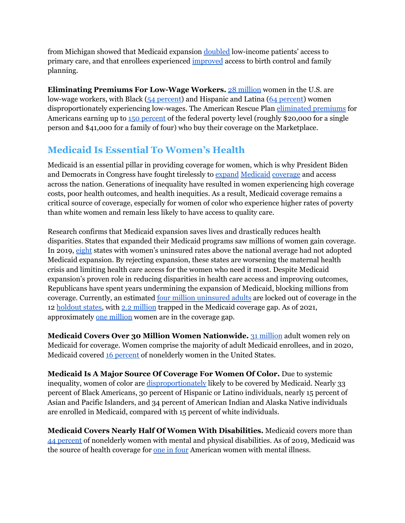from Michigan showed that Medicaid expansion [doubled](https://labblog.uofmhealth.org/industry-dx/medicaid-expansion-doubled-access-to-primary-care-and-increased-attention-to-health) low-income patients' access to primary care, and that enrollees experienced [improved](https://ihpi.umich.edu/news/study-medicaid-expansion-improves-access-family-planning) access to birth control and family planning.

**Eliminating Premiums For Low-Wage Workers.** 28 [million](https://www.brookings.edu/essay/why-has-covid-19-been-especially-harmful-for-working-women/) women in the U.S. are low-wage workers, with Black (54 [percent](https://www.brookings.edu/essay/why-has-covid-19-been-especially-harmful-for-working-women/)) and Hispanic and Latina (64 [percent\)](https://www.brookings.edu/essay/why-has-covid-19-been-especially-harmful-for-working-women/) women disproportionately experiencing low-wages. The American Rescue Plan [eliminated](https://www.kff.org/health-reform/issue-brief/how-the-american-rescue-plan-will-improve-affordability-of-private-health-coverage/) premiums for Americans earning up to 150 [percent](https://aspe.hhs.gov/topics/poverty-economic-mobility/poverty-guidelines) of the federal poverty level (roughly \$20,000 for a single person and \$41,000 for a family of four) who buy their coverage on the Marketplace.

# <span id="page-4-0"></span>**Medicaid Is Essential To Women's Health**

Medicaid is an essential pillar in providing coverage for women, which is why President Biden and Democrats in Congress have fought tirelessly to [expand](https://www.cms.gov/newsroom/press-releases/new-reports-show-record-35-million-people-enrolled-coverage-related-affordable-care-act-historic-21#:~:text=Press%20release-,New%20Reports%20Show%20Record%2035%20Million%20People%20Enrolled%20in%20Coverage,Enrolled%20in%20Medicaid%20Expansion%20Coverage) [Medicaid](https://www.npr.org/sections/health-shots/2022/02/10/1079732792/biden-administration-to-reverse-medicaid-changes-that-trump-had-okd-in-some-stat) [coverage](https://www.commonwealthfund.org/publications/issue-briefs/2021/may/economic-employment-effects-medicaid-expansion-under-arp#:~:text=The%20American%20Rescue%20Plan%20Act,family%20of%20three%20in%202021).) and access across the nation. Generations of inequality have resulted in women experiencing high coverage costs, poor health outcomes, and health inequities. As a result, Medicaid coverage remains a critical source of coverage, especially for women of color who experience higher rates of poverty than white women and remain less likely to have access to quality care.

Research confirms that Medicaid expansion saves lives and drastically reduces health disparities. States that expanded their Medicaid programs saw millions of women gain coverage. In 2019, [eight](https://www.kff.org/womens-health-policy/fact-sheet/womens-health-insurance-coverage/) states with women's uninsured rates above the national average had not adopted Medicaid expansion. By rejecting expansion, these states are worsening the maternal health crisis and limiting health care access for the women who need it most. Despite Medicaid expansion's proven role in reducing disparities in health care access and improving outcomes, Republicans have spent years undermining the expansion of Medicaid, blocking millions from coverage. Currently, an estimated four million [uninsured](https://www.kff.org/medicaid/issue-brief/the-coverage-gap-uninsured-poor-adults-in-states-that-do-not-expand-medicaid/) adults are locked out of coverage in the 12 [holdout](https://www.kff.org/medicaid/issue-brief/status-of-state-medicaid-expansion-decisions-interactive-map/) states, with 2.2 [million](https://www.kff.org/medicaid/issue-brief/the-coverage-gap-uninsured-poor-adults-in-states-that-do-not-expand-medicaid/) trapped in the Medicaid coverage gap. As of 2021, approximately one [million](https://www.kff.org/other/fact-sheet/womens-health-insurance-coverage/#:~:text=One%20million%20poor%20women%20are,lower%20level%20for%20Marketplace%20subsidies.) women are in the coverage gap.

**Medicaid Covers Over 30 Million Women Nationwide.** 31 [million](https://www.kff.org/womens-health-policy/issue-brief/medicaid-coverage-for-women/) adult women rely on Medicaid for coverage. Women comprise the majority of adult Medicaid enrollees, and in 2020, Medicaid covered 16 [percent](https://www.kff.org/womens-health-policy/issue-brief/medicaid-coverage-for-women/) of nonelderly women in the United States.

**Medicaid Is A Major Source Of Coverage For Women Of Color.** Due to systemic inequality, women of color are [disproportionately](https://www.kff.org/medicaid/state-indicator/nonelderly-medicaid-rate-by-raceethnicity/?currentTimeframe=0&sortModel=%7B%22colId%22:%22Location%22,%22sort%22:%22asc%22%7D) likely to be covered by Medicaid. Nearly 33 percent of Black Americans, 30 percent of Hispanic or Latino individuals, nearly 15 percent of Asian and Pacific Islanders, and 34 percent of American Indian and Alaska Native individuals are enrolled in Medicaid, compared with 15 percent of white individuals.

**Medicaid Covers Nearly Half Of Women With Disabilities.** Medicaid covers more than 44 [percent](https://www.kff.org/womens-health-policy/issue-brief/medicaid-coverage-for-women/) of nonelderly women with mental and physical disabilities. As of 2019, Medicaid was the source of health coverage for <u>one in [four](https://www.kff.org/womens-health-policy/issue-brief/medicaid-coverage-for-women/)</u> American women with mental illness.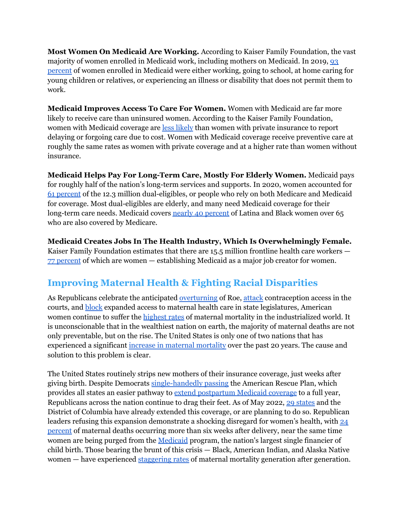**Most Women On Medicaid Are Working.** According to Kaiser Family Foundation, the vast majority of women enrolled in Medicaid work, including mothers on Medicaid. In 2019, [93](https://www.kff.org/womens-health-policy/issue-brief/medicaid-coverage-for-women/) [percent](https://www.kff.org/womens-health-policy/issue-brief/medicaid-coverage-for-women/) of women enrolled in Medicaid were either working, going to school, at home caring for young children or relatives, or experiencing an illness or disability that does not permit them to work.

**Medicaid Improves Access To Care For Women.** Women with Medicaid are far more likely to receive care than uninsured women. According to the Kaiser Family Foundation, women with Medicaid coverage are less [likely](https://www.kff.org/womens-health-policy/issue-brief/medicaid-coverage-for-women/) than women with private insurance to report delaying or forgoing care due to cost. Women with Medicaid coverage receive preventive care at roughly the same rates as women with private coverage and at a higher rate than women without insurance.

**Medicaid Helps Pay For Long-Term Care, Mostly For Elderly Women.** Medicaid pays for roughly half of the nation's long-term services and supports. In 2020, women accounted for 61 [percent](https://www.macpac.gov/topics/dually-eligible-beneficiaries/#:~:text=Key%20facts%3A,programs%20in%20calendar%20year%202020.) of the 12.3 million dual-eligibles, or people who rely on both Medicare and Medicaid for coverage. Most dual-eligibles are elderly, and many need Medicaid coverage for their long-term care needs. Medicaid covers nearly 40 [percent](https://www.cbpp.org/research/health/medicaid-works-for-women-but-proposed-cuts-would-have-harsh-disproportionate-impact#_ftn21) of Latina and Black women over 65 who are also covered by Medicare.

**Medicaid Creates Jobs In The Health Industry, Which Is Overwhelmingly Female.** Kaiser Family Foundation estimates that there are 15.5 million frontline health care workers — 77 [percent](https://www.kff.org/coronavirus-covid-19/issue-brief/key-characteristics-of-health-care-workers-and-implications-for-covid-19-vaccination/#:~:text=KFF%20survey%20data%20show%20that,hesitancy%20vary%20across%20demographic%20groups.) of which are women — establishing Medicaid as a major job creator for women.

# <span id="page-5-0"></span>**Improving Maternal Health & Fighting Racial Disparities**

As Republicans celebrate the anticipated [overturning](https://www.politico.com/news/2022/05/02/supreme-court-abortion-draft-opinion-00029473) of Roe, [attack](https://www.vox.com/2021/4/2/22360341/obamacare-lawsuit-supreme-court-little-sisters-kelley-becerra-reed-oconnor-nondelegation) contraception access in the courts, and [block](https://apnews.com/article/health-mississippi-medicaid-c49dcbdc7b356f593485853aee5458c1) expanded access to maternal health care in state legislatures, American women continue to suffer the [highest](https://www.commonwealthfund.org/publications/issue-briefs/2020/nov/maternal-mortality-maternity-care-us-compared-10-countries) rates of maternal mortality in the industrialized world. It is unconscionable that in the wealthiest nation on earth, the majority of maternal deaths are not only preventable, but on the rise. The United States is only one of two nations that has experienced a significant increase in maternal [mortality](https://www.commonwealthfund.org/publications/issue-brief-report/2020/dec/maternal-mortality-united-states-primer) over the past 20 years. The cause and solution to this problem is clear.

The United States routinely strips new mothers of their insurance coverage, just weeks after giving birth. Despite Democrats [single-handedly](https://clerk.house.gov/Votes/202172) passing the American Rescue Plan, which provides all states an easier pathway to extend [postpartum](https://www.hhs.gov/about/news/2022/05/25/hhs-applauds-12-month-postpartum-expansion-in-california-florida-kentucky-and-oregon.html) Medicaid coverage to a full year, Republicans across the nation continue to drag their feet. As of May 2022, 29 [states](https://www.cbpp.org/blog/congress-should-advance-maternal-health-equity-in-upcoming-economic-legislation) and the District of Columbia have already extended this coverage, or are planning to do so. Republican leaders refusing this expansion demonstrate a shocking disregard for women's health, with [24](https://www.cdc.gov/reproductivehealth/maternal-mortality/erase-mm/mmr-data-brief.html) [percent](https://www.cdc.gov/reproductivehealth/maternal-mortality/erase-mm/mmr-data-brief.html) of maternal deaths occurring more than six weeks after delivery, near the same time women are being purged from the [Medicaid](https://www.kff.org/report-section/medicaid-initiatives-to-improve-maternal-and-infant-health-and-address-racial-disparities-issue-brief/) program, the nation's largest single financier of child birth. Those bearing the brunt of this crisis — Black, American Indian, and Alaska Native women — have experienced [staggering](https://www.cdc.gov/reproductivehealth/maternal-mortality/pregnancy-mortality-surveillance-system.htm?CDC_AA_refVal=https%3A%2F%2Fwww.cdc.gov%2Freproductivehealth%2Fmaternalinfanthealth%2Fpregnancy-mortality-surveillance-system.htm) rates of maternal mortality generation after generation.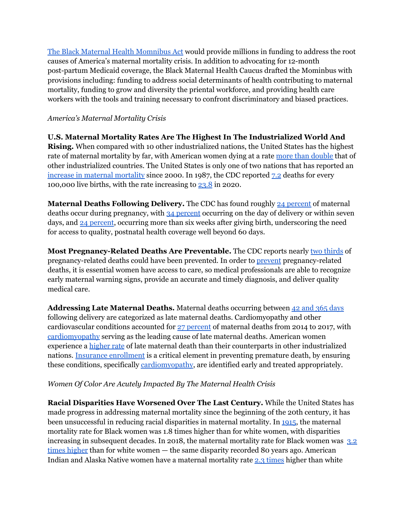The Black Maternal Health [Momnibus](https://blackmaternalhealthcaucus-underwood.house.gov/Momnibus) Act would provide millions in funding to address the root causes of America's maternal mortality crisis. In addition to advocating for 12-month post-partum Medicaid coverage, the Black Maternal Health Caucus drafted the Mominbus with provisions including: funding to address social determinants of health contributing to maternal mortality, funding to grow and diversity the priental workforce, and providing health care workers with the tools and training necessary to confront discriminatory and biased practices.

#### *America's Maternal Mortality Crisis*

**U.S. Maternal Mortality Rates Are The Highest In The Industrialized World And Rising.** When compared with 10 other industrialized nations, the United States has the highest rate of maternal mortality by far, with American women dying at a rate more than [double](https://www.commonwealthfund.org/publications/issue-briefs/2020/nov/maternal-mortality-maternity-care-us-compared-10-countries) that of other industrialized countries. The United States is only one of two nations that has reported an increase in maternal [mortality](https://www.commonwealthfund.org/publications/issue-brief-report/2020/dec/maternal-mortality-united-states-primer) since 2000. In 1987, the CDC reported [7.2](https://www.cdc.gov/reproductivehealth/maternal-mortality/pregnancy-mortality-surveillance-system.htm?CDC_AA_refVal=https%3A%2F%2Fwww.cdc.gov%2Freproductivehealth%2Fmaternalinfanthealth%2Fpregnancy-mortality-surveillance-system.htm) deaths for every 100,000 live births, with the rate increasing to [23.8](https://www.cdc.gov/nchs/data/hestat/maternal-mortality/2020/E-stat-Maternal-Mortality-Rates-2022.pdf) in 2020.

**Maternal Deaths Following Delivery.** The CDC has found roughly 24 [percent](https://www.cdc.gov/reproductivehealth/maternal-mortality/erase-mm/mmr-data-brief.html) of maternal deaths occur during pregnancy, with 34 [percent](https://www.cdc.gov/reproductivehealth/maternal-mortality/erase-mm/mmr-data-brief.html) occurring on the day of delivery or within seven days, and 24 [percent](https://www.cdc.gov/reproductivehealth/maternal-mortality/erase-mm/mmr-data-brief.html), occurring more than six weeks after giving birth, underscoring the need for access to quality, postnatal health coverage well beyond 60 days.

**Most Pregnancy-Related Deaths Are Preventable.** The CDC reports nearly two [thirds](https://www.cdc.gov/hearher/pregnancy-related-deaths/index.html) of pregnancy-related deaths could have been prevented. In order to [prevent](https://www.cdc.gov/hearher/pregnancy-related-deaths/index.html) pregnancy-related deaths, it is essential women have access to care, so medical professionals are able to recognize early maternal warning signs, provide an accurate and timely diagnosis, and deliver quality medical care.

**Addressing Late Maternal Deaths.** Maternal deaths occurring between 42 and 365 [days](https://www.commonwealthfund.org/publications/issue-briefs/2020/nov/maternal-mortality-maternity-care-us-compared-10-countries) following delivery are categorized as late maternal deaths. Cardiomyopathy and other cardiovascular conditions accounted for 27 [percent](https://www.cdc.gov/reproductivehealth/maternal-mortality/pregnancy-mortality-surveillance-system.htm?CDC_AA_refVal=https%3A%2F%2Fwww.cdc.gov%2Freproductivehealth%2Fmaternalinfanthealth%2Fpregnancy-mortality-surveillance-system.htm) of maternal deaths from 2014 to 2017, with [cardiomyopathy](https://www.commonwealthfund.org/publications/issue-briefs/2020/nov/maternal-mortality-maternity-care-us-compared-10-countries) serving as the leading cause of late maternal deaths. American women experience a [higher](https://www.commonwealthfund.org/publications/issue-briefs/2020/nov/maternal-mortality-maternity-care-us-compared-10-countries) rate of late maternal death than their counterparts in other industrialized nations. Insurance [enrollment](https://www.commonwealthfund.org/publications/issue-brief-report/2020/dec/maternal-mortality-united-states-primer) is a critical element in preventing premature death, by ensuring these conditions, specifically [cardiomyopathy](https://www.cdc.gov/heartdisease/cardiomyopathy.htm), are identified early and treated appropriately.

## *Women Of Color Are Acutely Impacted By The Maternal Health Crisis*

**Racial Disparities Have Worsened Over The Last Century.** While the United States has made progress in addressing maternal mortality since the beginning of the 20th century, it has been unsuccessful in reducing racial disparities in maternal mortality. In [1915,](https://www.commonwealthfund.org/publications/issue-brief-report/2020/dec/maternal-mortality-united-states-primer) the maternal mortality rate for Black women was 1.8 times higher than for white women, with disparities increasing in subsequent decades. In 2018, the maternal mortality rate for Black women was [3.2](https://www.cdc.gov/media/releases/2019/p0905-racial-ethnic-disparities-pregnancy-deaths.html) times [higher](https://www.cdc.gov/media/releases/2019/p0905-racial-ethnic-disparities-pregnancy-deaths.html) than for white women — the same disparity recorded 80 years ago. American Indian and Alaska Native women have a maternal mortality rate 2.3 [times](https://www.cdc.gov/media/releases/2019/p0905-racial-ethnic-disparities-pregnancy-deaths.html) higher than white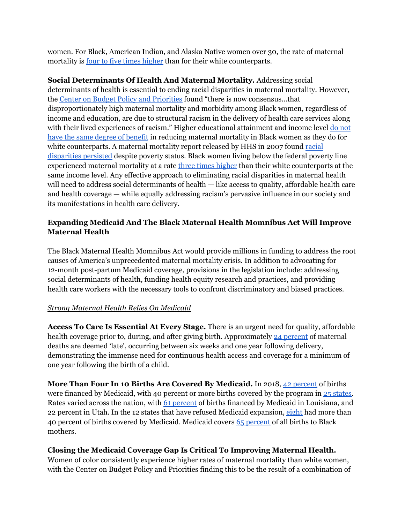women. For Black, American Indian, and Alaska Native women over 30, the rate of maternal mortality is <u>four to five times [higher](https://www.cdc.gov/media/releases/2019/p0905-racial-ethnic-disparities-pregnancy-deaths.html)</u> than for their white counterparts.

**Social Determinants Of Health And Maternal Mortality.** Addressing social determinants of health is essential to ending racial disparities in maternal mortality. However, the Center on Budget Policy and [Priorities](https://www.cbpp.org/research/health/closing-the-coverage-gap-would-improve-black-maternal-health) found "there is now consensus...that disproportionately high maternal mortality and morbidity among Black women, regardless of income and education, are due to structural racism in the delivery of health care services along with their lived experiences of racism." Higher educational attainment and income level do [not](https://www.americanprogress.org/issues/women/reports/2019/05/02/469186/eliminating-racial-disparities-maternal-infant-mortality/) have the same degree of [benefit](https://www.americanprogress.org/issues/women/reports/2019/05/02/469186/eliminating-racial-disparities-maternal-infant-mortality/) in reducing maternal mortality in Black women as they do for white counterparts. A maternal mortality report released by HHS in 2007 found [racial](https://www.hrsa.gov/sites/default/files/ourstories/mchb75th/mchb75maternalmortality.pdf) [disparities](https://www.hrsa.gov/sites/default/files/ourstories/mchb75th/mchb75maternalmortality.pdf) persisted despite poverty status. Black women living below the federal poverty line experienced maternal mortality at a rate three times [higher](https://www.hrsa.gov/sites/default/files/ourstories/mchb75th/mchb75maternalmortality.pdf) than their white counterparts at the same income level. Any effective approach to eliminating racial disparities in maternal health will need to address social determinants of health — like access to quality, affordable health care and health coverage — while equally addressing racism's pervasive influence in our society and its manifestations in health care delivery.

## **Expanding Medicaid And The Black Maternal Health Momnibus Act Will Improve Maternal Health**

The Black Maternal Health Momnibus Act would provide millions in funding to address the root causes of America's unprecedented maternal mortality crisis. In addition to advocating for 12-month post-partum Medicaid coverage, provisions in the legislation include: addressing social determinants of health, funding health equity research and practices, and providing health care workers with the necessary tools to confront discriminatory and biased practices.

## *Strong Maternal Health Relies On Medicaid*

**Access To Care Is Essential At Every Stage.** There is an urgent need for quality, affordable health coverage prior to, during, and after giving birth. Approximately 24 [percent](https://www.cdc.gov/reproductivehealth/maternal-mortality/erase-mm/mmr-data-brief.html) of maternal deaths are deemed 'late', occurring between six weeks and one year following delivery, demonstrating the immense need for continuous health access and coverage for a minimum of one year following the birth of a child.

**More Than Four In 10 Births Are Covered By Medicaid.** In 2018, 42 [percent](https://www.kff.org/medicaid/state-indicator/births-financed-by-medicaid/?currentTimeframe=0&sortModel=%7B%22colId%22:%22Percent%20of%20Births%20Financed%20by%20Medicaid%22,%22sort%22:%22desc%22%7D) of births were financed by Medicaid, with 40 percent or more births covered by the program in 25 [states.](https://www.kff.org/medicaid/state-indicator/births-financed-by-medicaid/?currentTimeframe=0&sortModel=%7B%22colId%22:%22Percent%20of%20Births%20Financed%20by%20Medicaid%22,%22sort%22:%22desc%22%7D) Rates varied across the nation, with 61 [percent](https://www.kff.org/medicaid/state-indicator/births-financed-by-medicaid/?currentTimeframe=0&sortModel=%7B%22colId%22:%22Percent%20of%20Births%20Financed%20by%20Medicaid%22,%22sort%22:%22desc%22%7D) of births financed by Medicaid in Louisiana, and 22 percent in Utah. In the 12 states that have refused Medicaid expansion, [eight](https://www.kff.org/medicaid/state-indicator/births-financed-by-medicaid/?currentTimeframe=0&selectedRows=%7B%22states%22:%7B%22alabama%22:%7B%7D,%22florida%22:%7B%7D,%22georgia%22:%7B%7D,%22mississippi%22:%7B%7D,%22south-carolina%22:%7B%7D,%22south-dakota%22:%7B%7D,%22wyoming%22:%7B%7D,%22wisconsin%22:%7B%7D,%22texas%22:%7B%7D,%22tennessee%22:%7B%7D,%22north-carolina%22:%7B%7D,%22kansas%22:%7B%7D%7D%7D&sortModel=%7B%22colId%22:%22Percent%20of%20Births%20Financed%20by%20Medicaid%22,%22sort%22:%22desc%22%7D) had more than 40 percent of births covered by Medicaid. Medicaid covers 65 [percent](https://www.cbpp.org/research/health/closing-the-coverage-gap-would-improve-black-maternal-health) of all births to Black mothers.

## **Closing the Medicaid Coverage Gap Is Critical To Improving Maternal Health.**

Women of color consistently experience higher rates of maternal mortality than white women, with the Center on Budget Policy and Priorities finding this to be the result of a combination of